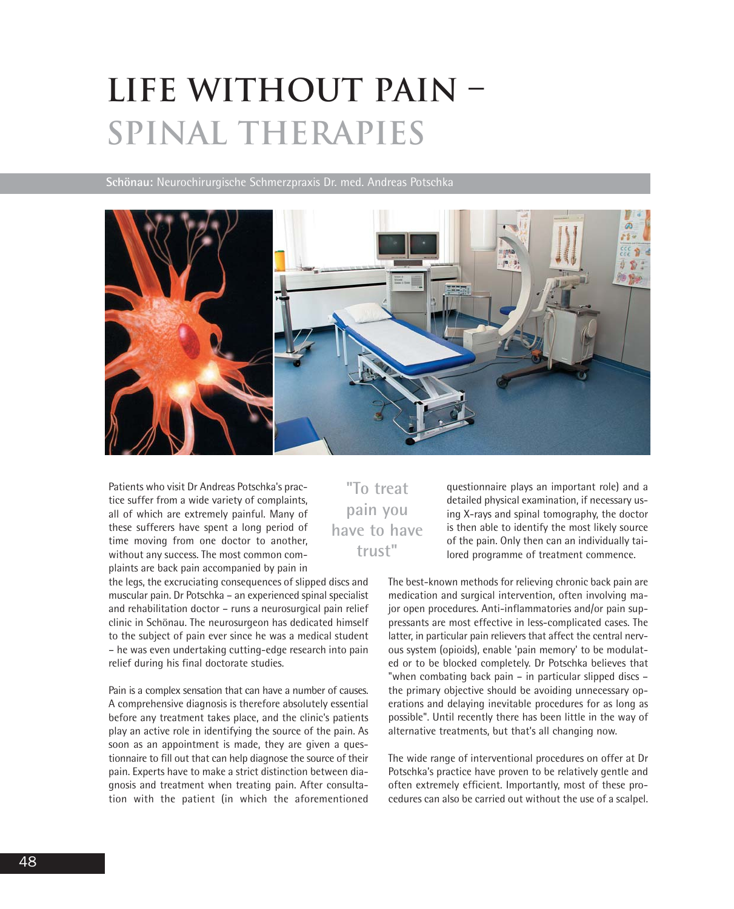## **Life without pain – spinal therapies**

**Schönau:** Neurochirurgische Schmerzpraxis Dr. med. Andreas Potschka



Patients who visit Dr Andreas Potschka's practice suffer from a wide variety of complaints, all of which are extremely painful. Many of these sufferers have spent a long period of time moving from one doctor to another, without any success. The most common complaints are back pain accompanied by pain in

the legs, the excruciating consequences of slipped discs and muscular pain. Dr Potschka – an experienced spinal specialist and rehabilitation doctor – runs a neurosurgical pain relief clinic in Schönau. The neurosurgeon has dedicated himself to the subject of pain ever since he was a medical student – he was even undertaking cutting-edge research into pain relief during his final doctorate studies.

Pain is a complex sensation that can have a number of causes. A comprehensive diagnosis is therefore absolutely essential before any treatment takes place, and the clinic's patients play an active role in identifying the source of the pain. As soon as an appointment is made, they are given a questionnaire to fill out that can help diagnose the source of their pain. Experts have to make a strict distinction between diagnosis and treatment when treating pain. After consultation with the patient (in which the aforementioned

## **"To treat pain you have to have trust"**

questionnaire plays an important role) and a detailed physical examination, if necessary using X-rays and spinal tomography, the doctor is then able to identify the most likely source of the pain. Only then can an individually tailored programme of treatment commence.

The best-known methods for relieving chronic back pain are medication and surgical intervention, often involving major open procedures. Anti-inflammatories and/or pain suppressants are most effective in less-complicated cases. The latter, in particular pain relievers that affect the central nervous system (opioids), enable 'pain memory' to be modulated or to be blocked completely. Dr Potschka believes that "when combating back pain – in particular slipped discs – the primary objective should be avoiding unnecessary operations and delaying inevitable procedures for as long as possible". Until recently there has been little in the way of alternative treatments, but that's all changing now.

The wide range of interventional procedures on offer at Dr Potschka's practice have proven to be relatively gentle and often extremely efficient. Importantly, most of these procedures can also be carried out without the use of a scalpel.